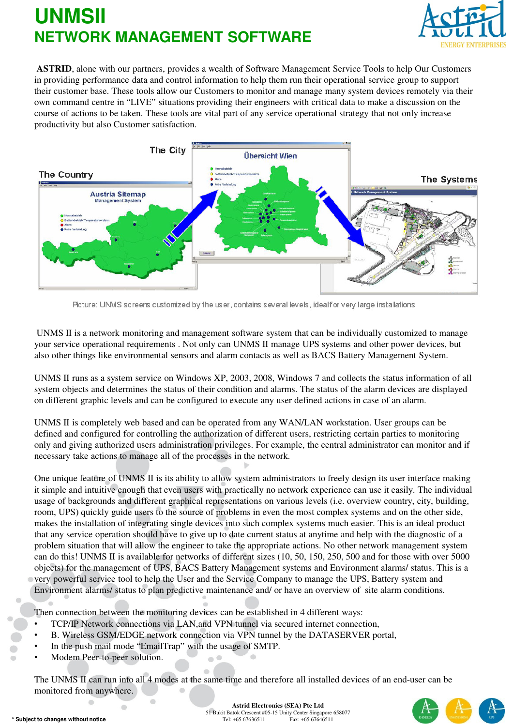

**ASTRID**, alone with our partners, provides a wealth of Software Management Service Tools to help Our Customers in providing performance data and control information to help them run their operational service group to support their customer base. These tools allow our Customers to monitor and manage many system devices remotely via their own command centre in "LIVE" situations providing their engineers with critical data to make a discussion on the course of actions to be taken. These tools are vital part of any service operational strategy that not only increase productivity but also Customer satisfaction.



Picture: UNMS screens customized by the user, contains several levels, ideal for very large installations

UNMS II is a network monitoring and management software system that can be individually customized to manage your service operational requirements . Not only can UNMS II manage UPS systems and other power devices, but also other things like environmental sensors and alarm contacts as well as BACS Battery Management System.

UNMS II runs as a system service on Windows XP, 2003, 2008, Windows 7 and collects the status information of all system objects and determines the status of their condition and alarms. The status of the alarm devices are displayed on different graphic levels and can be configured to execute any user defined actions in case of an alarm.

UNMS II is completely web based and can be operated from any WAN/LAN workstation. User groups can be defined and configured for controlling the authorization of different users, restricting certain parties to monitoring only and giving authorized users administration privileges. For example, the central administrator can monitor and if necessary take actions to manage all of the processes in the network.

One unique feature of UNMS II is its ability to allow system administrators to freely design its user interface making it simple and intuitive enough that even users with practically no network experience can use it easily. The individual usage of backgrounds and different graphical representations on various levels (i.e. overview country, city, building, room, UPS) quickly guide users to the source of problems in even the most complex systems and on the other side, makes the installation of integrating single devices into such complex systems much easier. This is an ideal product that any service operation should have to give up to date current status at anytime and help with the diagnostic of a problem situation that will allow the engineer to take the appropriate actions. No other network management system can do this! UNMS II is available for networks of different sizes (10, 50, 150, 250, 500 and for those with over 5000 objects) for the management of UPS, BACS Battery Management systems and Environment alarms/ status. This is a very powerful service tool to help the User and the Service Company to manage the UPS, Battery system and Environment alarms/ status to plan predictive maintenance and/ or have an overview of site alarm conditions.

Then connection between the monitoring devices can be established in 4 different ways:

- TCP/IP Network connections via LAN,and VPN tunnel via secured internet connection,
- B. Wireless GSM/EDGE network connection via VPN tunnel by the DATASERVER portal,
- In the push mail mode "EmailTrap" with the usage of SMTP.
- Modem Peer-to-peer solution.

The UNMS II can run into all 4 modes at the same time and therefore all installed devices of an end-user can be monitored from anywhere.



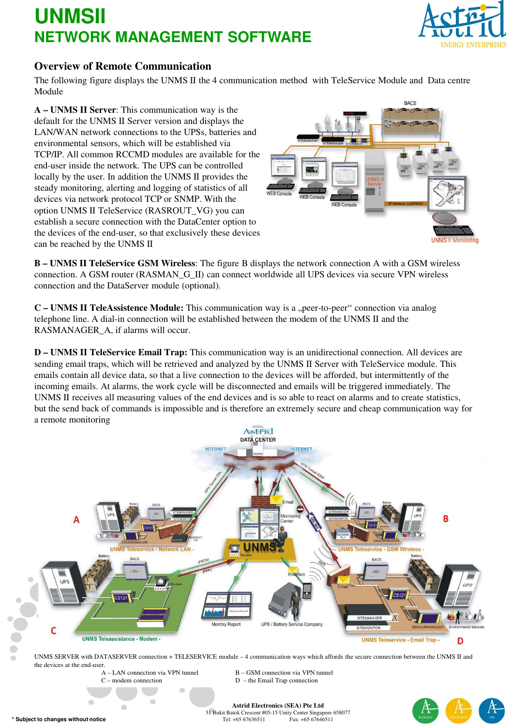

### **Overview of Remote Communication**

The following figure displays the UNMS II the 4 communication method with TeleService Module and Data centre Module

**A – UNMS II Server**: This communication way is the default for the UNMS II Server version and displays the LAN/WAN network connections to the UPSs, batteries and environmental sensors, which will be established via TCP/IP. All common RCCMD modules are available for the end-user inside the network. The UPS can be controlled locally by the user. In addition the UNMS II provides the steady monitoring, alerting and logging of statistics of all devices via network protocol TCP or SNMP. With the option UNMS II TeleService (RASROUT\_VG) you can establish a secure connection with the DataCenter option to the devices of the end-user, so that exclusively these devices can be reached by the UNMS II



**B – UNMS II TeleService GSM Wireless**: The figure B displays the network connection A with a GSM wireless connection. A GSM router (RASMAN\_G\_II) can connect worldwide all UPS devices via secure VPN wireless connection and the DataServer module (optional).

**C – UNMS II TeleAssistence Module:** This communication way is a "peer-to-peer" connection via analog telephone line. A dial-in connection will be established between the modem of the UNMS II and the RASMANAGER\_A, if alarms will occur.

**D – UNMS II TeleService Email Trap:** This communication way is an unidirectional connection. All devices are sending email traps, which will be retrieved and analyzed by the UNMS II Server with TeleService module. This emails contain all device data, so that a live connection to the devices will be afforded, but intermittently of the incoming emails. At alarms, the work cycle will be disconnected and emails will be triggered immediately. The UNMS II receives all measuring values of the end devices and is so able to react on alarms and to create statistics, but the send back of commands is impossible and is therefore an extremely secure and cheap communication way for a remote monitoring



UNMS SERVER with DATASERVER connection + TELESERVICE module – 4 communication ways which affords the secure connection between the UNMS II and the devices at the end-user.

 $C$  – modem connection  $D$  – the Email Trap connection

LAN connection via VPN tunnel B – GSM connection via VPN tunnel

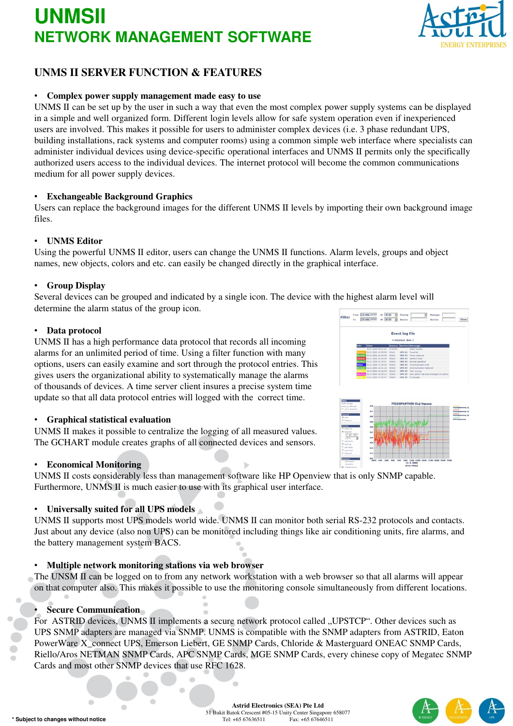

## **UNMS II SERVER FUNCTION & FEATURES**

### • **Complex power supply management made easy to use**

UNMS II can be set up by the user in such a way that even the most complex power supply systems can be displayed in a simple and well organized form. Different login levels allow for safe system operation even if inexperienced users are involved. This makes it possible for users to administer complex devices (i.e. 3 phase redundant UPS, building installations, rack systems and computer rooms) using a common simple web interface where specialists can administer individual devices using device-specific operational interfaces and UNMS II permits only the specifically authorized users access to the individual devices. The internet protocol will become the common communications medium for all power supply devices.

#### • **Exchangeable Background Graphics**

Users can replace the background images for the different UNMS II levels by importing their own background image files.

#### • **UNMS Editor**

Using the powerful UNMS II editor, users can change the UNMS II functions. Alarm levels, groups and object names, new objects, colors and etc. can easily be changed directly in the graphical interface.

#### • **Group Display**

Several devices can be grouped and indicated by a single icon. The device with the highest alarm level will determine the alarm status of the group icon.

#### • **Data protocol**

UNMS II has a high performance data protocol that records all incoming alarms for an unlimited period of time. Using a filter function with many options, users can easily examine and sort through the protocol entries. This gives users the organizational ability to systematically manage the alarms of thousands of devices. A time server client insures a precise system time update so that all data protocol entries will logged with the correct time.

#### • **Graphical statistical evaluation**

UNMS II makes it possible to centralize the logging of all measured values. The GCHART module creates graphs of all connected devices and sensors.

d)

#### • **Economical Monitoring**

UNMS II costs considerably less than management software like HP Openview that is only SNMP capable. Furthermore, UNMS II is much easier to use with its graphical user interface.

### • **Universally suited for all UPS models**

UNMS II supports most UPS models world wide. UNMS II can monitor both serial RS-232 protocols and contacts. Just about any device (also non UPS) can be monitored including things like air conditioning units, fire alarms, and the battery management system BACS.

#### • **Multiple network monitoring stations via web browser**

The UNSM II can be logged on to from any network workstation with a web browser so that all alarms will appear on that computer also. This makes it possible to use the monitoring console simultaneously from different locations.

### • **Secure Communication**

For ASTRID devices, UNMS II implements a secure network protocol called "UPSTCP". Other devices such as UPS SNMP adapters are managed via SNMP. UNMS is compatible with the SNMP adapters from ASTRID, Eaton PowerWare X\_connect UPS, Emerson Liebert, GE SNMP Cards, Chloride & Masterguard ONEAC SNMP Cards, Riello/Aros NETMAN SNMP Cards, APC SNMP Cards, MGE SNMP Cards, every chinese copy of Megatec SNMP Cards and most other SNMP devices that use RFC 1628.

 $\mathbf{C}$ 





 $\bigcirc$